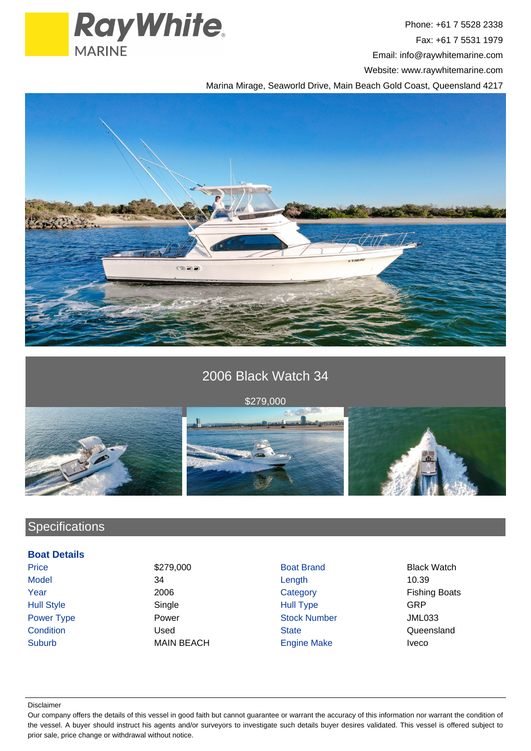

Phone: +61 7 5528 2338 Fax: +61 7 5531 1979 Email: info@raywhitemarine.com Website: www.raywhitemarine.com

Marina Mirage, Seaworld Drive, Main Beach Gold Coast, Queensland 4217



# 2006 Black Watch 34





## **Specifications**

### **Boat Details**

Suburb MAIN BEACH Engine Make Iveco

Price **\$279,000** S279,000 Boat Brand Black Watch Model 34 Length 10.39 Year 2006 2006 Category Category Fishing Boats Hull Style Single Hull Type GRP Power Type **Power Stock Number** Power **Stock Number** Power **JML033** Condition Condition Condition Condition Condition Condition Cueensland

Disclaimer

Our company offers the details of this vessel in good faith but cannot guarantee or warrant the accuracy of this information nor warrant the condition of the vessel. A buyer should instruct his agents and/or surveyors to investigate such details buyer desires validated. This vessel is offered subject to prior sale, price change or withdrawal without notice.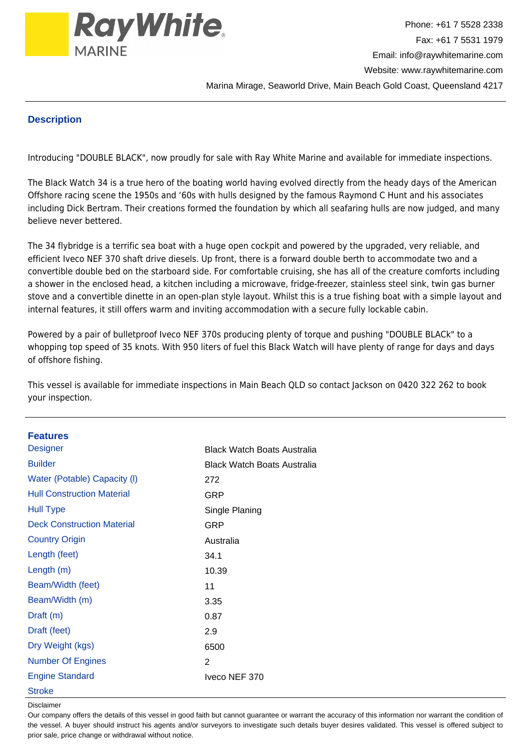

#### **Description**

Introducing "DOUBLE BLACK", now proudly for sale with Ray White Marine and available for immediate inspections.

The Black Watch 34 is a true hero of the boating world having evolved directly from the heady days of the American Offshore racing scene the 1950s and '60s with hulls designed by the famous Raymond C Hunt and his associates including Dick Bertram. Their creations formed the foundation by which all seafaring hulls are now judged, and many believe never bettered.

The 34 flybridge is a terrific sea boat with a huge open cockpit and powered by the upgraded, very reliable, and efficient Iveco NEF 370 shaft drive diesels. Up front, there is a forward double berth to accommodate two and a convertible double bed on the starboard side. For comfortable cruising, she has all of the creature comforts including a shower in the enclosed head, a kitchen including a microwave, fridge-freezer, stainless steel sink, twin gas burner stove and a convertible dinette in an open-plan style layout. Whilst this is a true fishing boat with a simple layout and internal features, it still offers warm and inviting accommodation with a secure fully lockable cabin.

Powered by a pair of bulletproof Iveco NEF 370s producing plenty of torque and pushing "DOUBLE BLACk" to a whopping top speed of 35 knots. With 950 liters of fuel this Black Watch will have plenty of range for days and days of offshore fishing.

This vessel is available for immediate inspections in Main Beach QLD so contact Jackson on 0420 322 262 to book your inspection.

| <b>Features</b>                   |                                    |
|-----------------------------------|------------------------------------|
| <b>Designer</b>                   | <b>Black Watch Boats Australia</b> |
| <b>Builder</b>                    | <b>Black Watch Boats Australia</b> |
| Water (Potable) Capacity (I)      | 272                                |
| <b>Hull Construction Material</b> | <b>GRP</b>                         |
| <b>Hull Type</b>                  | Single Planing                     |
| <b>Deck Construction Material</b> | <b>GRP</b>                         |
| <b>Country Origin</b>             | Australia                          |
| Length (feet)                     | 34.1                               |
| Length (m)                        | 10.39                              |
| Beam/Width (feet)                 | 11                                 |
| Beam/Width (m)                    | 3.35                               |
| Draft (m)                         | 0.87                               |
| Draft (feet)                      | 2.9                                |
| Dry Weight (kgs)                  | 6500                               |
| <b>Number Of Engines</b>          | 2                                  |
| <b>Engine Standard</b>            | Iveco NEF 370                      |
| <b>Stroke</b>                     |                                    |

#### Disclaimer

Our company offers the details of this vessel in good faith but cannot guarantee or warrant the accuracy of this information nor warrant the condition of the vessel. A buyer should instruct his agents and/or surveyors to investigate such details buyer desires validated. This vessel is offered subject to prior sale, price change or withdrawal without notice.